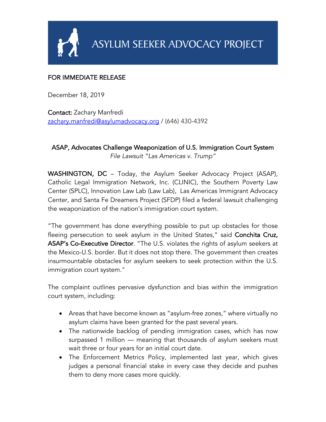

## FOR IMMEDIATE RELEASE

December 18, 2019

Contact: Zachary Manfredi zachary.manfredi@asylumadvocacy.org / (646) 430-4392

## ASAP, Advocates Challenge Weaponization of U.S. Immigration Court System *File Lawsuit "Las Americas v. Trump"*

WASHINGTON, DC - Today, the Asylum Seeker Advocacy Project (ASAP), Catholic Legal Immigration Network, Inc. (CLINIC), the Southern Poverty Law Center (SPLC), Innovation Law Lab (Law Lab), Las Americas Immigrant Advocacy Center, and Santa Fe Dreamers Project (SFDP) filed a federal lawsuit challenging the weaponization of the nation's immigration court system.

"The government has done everything possible to put up obstacles for those fleeing persecution to seek asylum in the United States," said Conchita Cruz, ASAP's Co-Executive Director. "The U.S. violates the rights of asylum seekers at the Mexico-U.S. border. But it does not stop there. The government then creates insurmountable obstacles for asylum seekers to seek protection within the U.S. immigration court system."

The complaint outlines pervasive dysfunction and bias within the immigration court system, including:

- Areas that have become known as "asylum-free zones," where virtually no asylum claims have been granted for the past several years.
- The nationwide backlog of pending immigration cases, which has now surpassed 1 million — meaning that thousands of asylum seekers must wait three or four years for an initial court date.
- The Enforcement Metrics Policy, implemented last year, which gives judges a personal financial stake in every case they decide and pushes them to deny more cases more quickly.